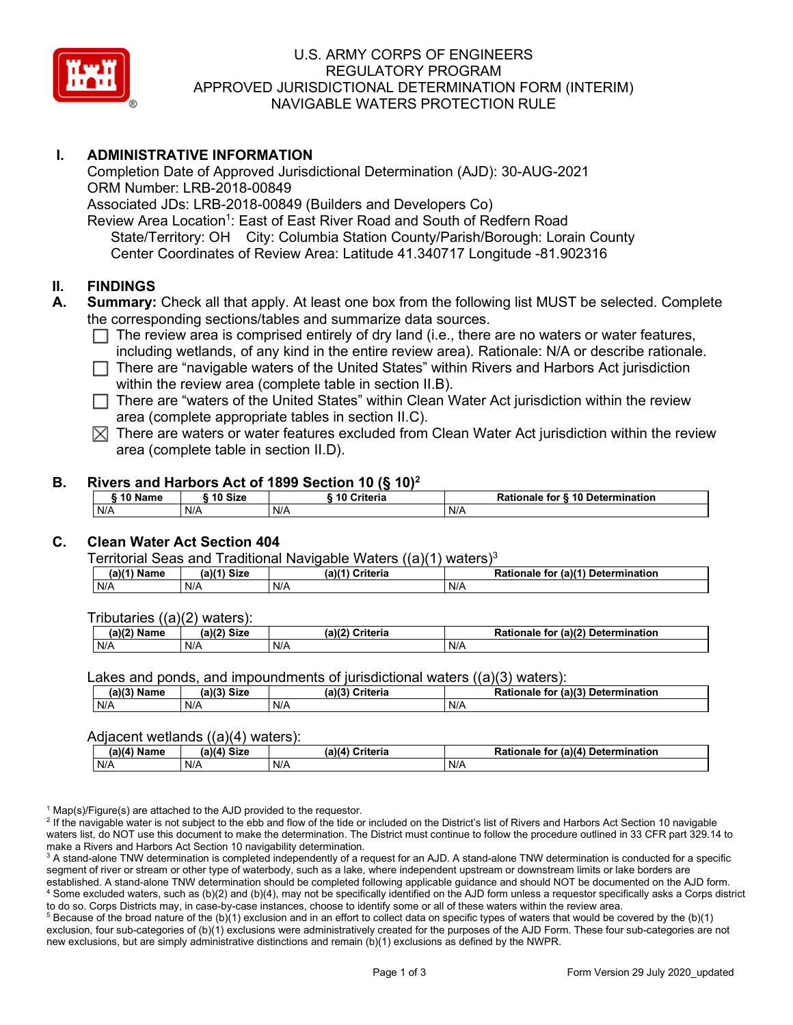

# U.S. ARMY CORPS OF ENGINEERS REGULATORY PROGRAM APPROVED JURISDICTIONAL DETERMINATION FORM (INTERIM) NAVIGABLE WATERS PROTECTION RULE

# **I. ADMINISTRATIVE INFORMATION**

Completion Date of Approved Jurisdictional Determination (AJD): 30-AUG-2021 ORM Number: LRB-2018-00849 Associated JDs: LRB-2018-00849 (Builders and Developers Co) Review Area Location<sup>1</sup>: East of East River Road and South of Redfern Road State/Territory: OH City: Columbia Station County/Parish/Borough: Lorain County Center Coordinates of Review Area: Latitude 41.340717 Longitude -81.902316

#### **II. FINDINGS**

- **A. Summary:** Check all that apply. At least one box from the following list MUST be selected. Complete the corresponding sections/tables and summarize data sources.
	- $\Box$  The review area is comprised entirely of dry land (i.e., there are no waters or water features, including wetlands, of any kind in the entire review area). Rationale: N/A or describe rationale.
	- $\Box$  There are "navigable waters of the United States" within Rivers and Harbors Act jurisdiction within the review area (complete table in section II.B).
	- $\Box$  There are "waters of the United States" within Clean Water Act jurisdiction within the review area (complete appropriate tables in section II.C).
	- $\boxtimes$  There are waters or water features excluded from Clean Water Act jurisdiction within the review area (complete table in section II.D).

#### **B. Rivers and Harbors Act of 1899 Section 10 (§ 10)2**

|         | $1.01$ and the compact of the contract of $\{3, 10\}$ |               |                                  |  |  |
|---------|-------------------------------------------------------|---------------|----------------------------------|--|--|
| 10 Name | 10 Size                                               | i 10 Criteria | Rationale for § 10 Determination |  |  |
| N/A     | N/A                                                   | N/A           | N/A                              |  |  |

# **C. Clean Water Act Section 404**

Territorial Seas and Traditional Navigable Waters  $((a)(1)$  waters)<sup>3</sup>

| $(a)(1)$ .<br>Name | $(a)$ $(4)$<br>Size | (a)<br>Criteria | (a)(1) Determination<br>Rationale<br>for |
|--------------------|---------------------|-----------------|------------------------------------------|
| N/A                | N/A                 | N/A             | N/A                                      |

Tributaries ((a)(2) waters):

| $1001$ $F_{\rm{H}}$<br>Name | $\sim$ 1/2<br>- 01-4<br>oizu | (a)(2)<br>Nuite aig<br>пе | $\mathcal{L}$<br>. Determination<br>TO |
|-----------------------------|------------------------------|---------------------------|----------------------------------------|
| N/A                         | N/A                          | .<br>N/A                  | N/A                                    |

Lakes and ponds, and impoundments of jurisdictional waters ((a)(3) waters):

| (a)(3) Name | (a)(3) Size | a)(3)<br>Criteria | Rationale<br>(a)(3)<br>Determination<br>for |
|-------------|-------------|-------------------|---------------------------------------------|
| N/A         | N/A         | N/A               | N/A                                         |

#### Adjacent wetlands ((a)(4) waters):

|               | .<br>.      |                 |                                    |  |
|---------------|-------------|-----------------|------------------------------------|--|
| $(a)(4)$ Name | (a)(4) Size | (a)(4) Criteria | Rationale for (a)(4) Determination |  |
| N/A           | N/f         | N/A             | N/A                                |  |

 $1$  Map(s)/Figure(s) are attached to the AJD provided to the requestor.

<sup>2</sup> If the navigable water is not subject to the ebb and flow of the tide or included on the District's list of Rivers and Harbors Act Section 10 navigable waters list, do NOT use this document to make the determination. The District must continue to follow the procedure outlined in 33 CFR part 329.14 to make a Rivers and Harbors Act Section 10 navigability determination.

<sup>3</sup> A stand-alone TNW determination is completed independently of a request for an AJD. A stand-alone TNW determination is conducted for a specific segment of river or stream or other type of waterbody, such as a lake, where independent upstream or downstream limits or lake borders are established. A stand-alone TNW determination should be completed following applicable guidance and should NOT be documented on the AJD form. <sup>4</sup> Some excluded waters, such as (b)(2) and (b)(4), may not be specifically identified on the AJD form unless a requestor specifically asks a Corps district to do so. Corps Districts may, in case-by-case instances, choose to identify some or all of these waters within the review area.

 $5$  Because of the broad nature of the (b)(1) exclusion and in an effort to collect data on specific types of waters that would be covered by the (b)(1) exclusion, four sub-categories of (b)(1) exclusions were administratively created for the purposes of the AJD Form. These four sub-categories are not new exclusions, but are simply administrative distinctions and remain (b)(1) exclusions as defined by the NWPR.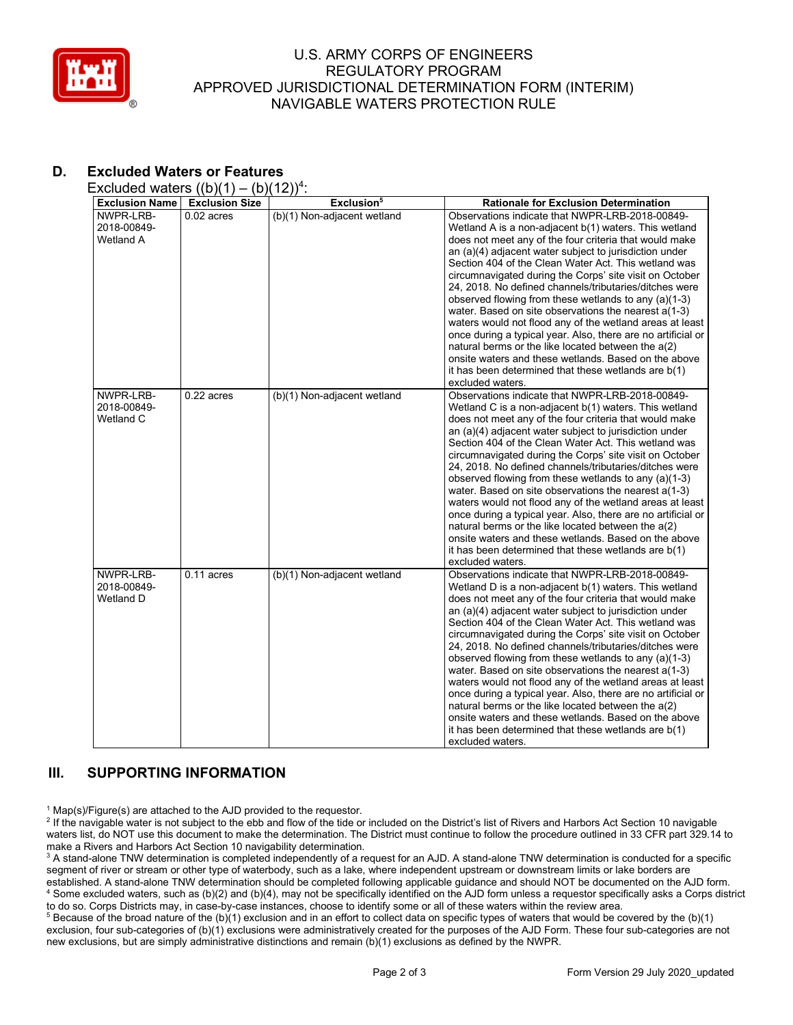

### U.S. ARMY CORPS OF ENGINEERS REGULATORY PROGRAM APPROVED JURISDICTIONAL DETERMINATION FORM (INTERIM) NAVIGABLE WATERS PROTECTION RULE

# **D. Excluded Waters or Features**

Excluded waters  $((b)(1) - (b)(12))^4$ :

| <b>Exclusion Name</b>                        | $\sqrt{2}$<br><b>Exclusion Size</b> | .,,<br>Exclusion <sup>5</sup> | <b>Rationale for Exclusion Determination</b>                                                                                                                                                                                                                                                                                                                                                                                                                                                                                                                                                                                                                                                                                                                                                                                                     |
|----------------------------------------------|-------------------------------------|-------------------------------|--------------------------------------------------------------------------------------------------------------------------------------------------------------------------------------------------------------------------------------------------------------------------------------------------------------------------------------------------------------------------------------------------------------------------------------------------------------------------------------------------------------------------------------------------------------------------------------------------------------------------------------------------------------------------------------------------------------------------------------------------------------------------------------------------------------------------------------------------|
| NWPR-LRB-<br>2018-00849-<br>Wetland A        | $0.02$ acres                        | (b)(1) Non-adjacent wetland   | Observations indicate that NWPR-LRB-2018-00849-<br>Wetland A is a non-adjacent b(1) waters. This wetland<br>does not meet any of the four criteria that would make<br>an (a)(4) adjacent water subject to jurisdiction under<br>Section 404 of the Clean Water Act. This wetland was<br>circumnavigated during the Corps' site visit on October<br>24, 2018. No defined channels/tributaries/ditches were<br>observed flowing from these wetlands to any (a)(1-3)<br>water. Based on site observations the nearest a(1-3)<br>waters would not flood any of the wetland areas at least<br>once during a typical year. Also, there are no artificial or<br>natural berms or the like located between the a(2)<br>onsite waters and these wetlands. Based on the above<br>it has been determined that these wetlands are b(1)<br>excluded waters.   |
| NWPR-LRB-<br>2018-00849-<br>Wetland C        | $0.22$ acres                        | (b)(1) Non-adjacent wetland   | Observations indicate that NWPR-LRB-2018-00849-<br>Wetland C is a non-adjacent b(1) waters. This wetland<br>does not meet any of the four criteria that would make<br>an (a)(4) adjacent water subject to jurisdiction under<br>Section 404 of the Clean Water Act. This wetland was<br>circumnavigated during the Corps' site visit on October<br>24, 2018. No defined channels/tributaries/ditches were<br>observed flowing from these wetlands to any (a)(1-3)<br>water. Based on site observations the nearest a(1-3)<br>waters would not flood any of the wetland areas at least<br>once during a typical year. Also, there are no artificial or<br>natural berms or the like located between the a(2)<br>onsite waters and these wetlands. Based on the above<br>it has been determined that these wetlands are b(1)<br>excluded waters.   |
| NWPR-LRB-<br>2018-00849-<br><b>Wetland D</b> | $0.11$ acres                        | (b)(1) Non-adjacent wetland   | Observations indicate that NWPR-LRB-2018-00849-<br>Wetland D is a non-adjacent b(1) waters. This wetland<br>does not meet any of the four criteria that would make<br>an (a)(4) adjacent water subject to jurisdiction under<br>Section 404 of the Clean Water Act. This wetland was<br>circumnavigated during the Corps' site visit on October<br>24, 2018. No defined channels/tributaries/ditches were<br>observed flowing from these wetlands to any (a)(1-3)<br>water. Based on site observations the nearest a(1-3)<br>waters would not flood any of the wetland areas at least<br>once during a typical year. Also, there are no artificial or<br>natural berms or the like located between the a(2)<br>onsite waters and these wetlands. Based on the above<br>it has been determined that these wetlands are $b(1)$<br>excluded waters. |

# **III. SUPPORTING INFORMATION**

 $1$  Map(s)/Figure(s) are attached to the AJD provided to the requestor.

<sup>2</sup> If the navigable water is not subject to the ebb and flow of the tide or included on the District's list of Rivers and Harbors Act Section 10 navigable waters list, do NOT use this document to make the determination. The District must continue to follow the procedure outlined in 33 CFR part 329.14 to make a Rivers and Harbors Act Section 10 navigability determination.

<sup>3</sup> A stand-alone TNW determination is completed independently of a request for an AJD. A stand-alone TNW determination is conducted for a specific segment of river or stream or other type of waterbody, such as a lake, where independent upstream or downstream limits or lake borders are established. A stand-alone TNW determination should be completed following applicable guidance and should NOT be documented on the AJD form. <sup>4</sup> Some excluded waters, such as (b)(2) and (b)(4), may not be specifically identified on the AJD form unless a requestor specifically asks a Corps district to do so. Corps Districts may, in case-by-case instances, choose to identify some or all of these waters within the review area.

<sup>5</sup> Because of the broad nature of the (b)(1) exclusion and in an effort to collect data on specific types of waters that would be covered by the (b)(1) exclusion, four sub-categories of (b)(1) exclusions were administratively created for the purposes of the AJD Form. These four sub-categories are not new exclusions, but are simply administrative distinctions and remain (b)(1) exclusions as defined by the NWPR.